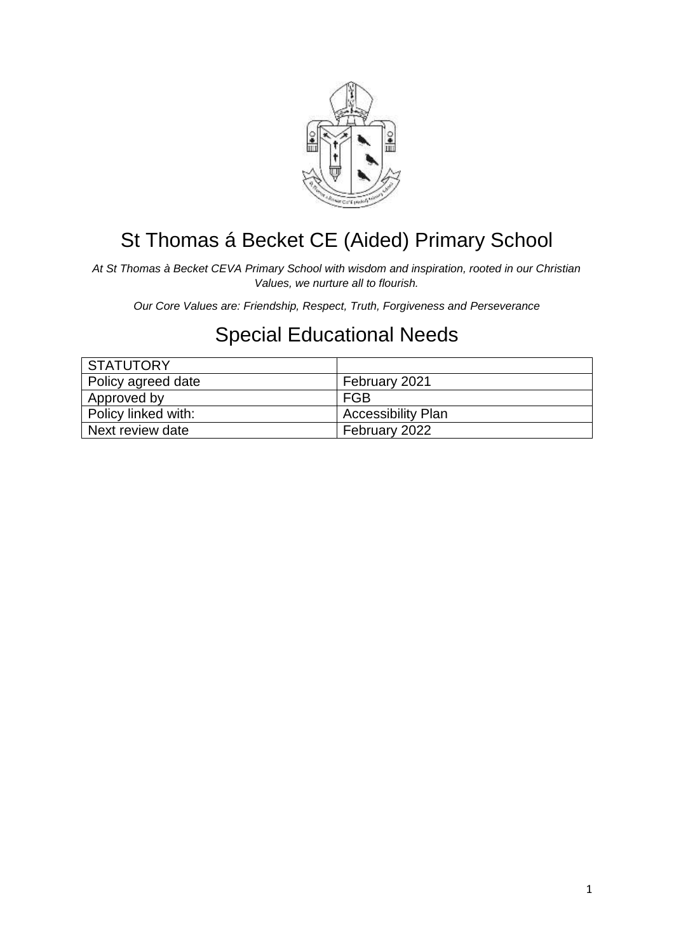

# St Thomas á Becket CE (Aided) Primary School

*At St Thomas à Becket CEVA Primary School with wisdom and inspiration, rooted in our Christian Values, we nurture all to flourish.*

*Our Core Values are: Friendship, Respect, Truth, Forgiveness and Perseverance*

## Special Educational Needs

| <b>STATUTORY</b>    |                           |
|---------------------|---------------------------|
| Policy agreed date  | February 2021             |
| Approved by         | <b>FGB</b>                |
| Policy linked with: | <b>Accessibility Plan</b> |
| Next review date    | February 2022             |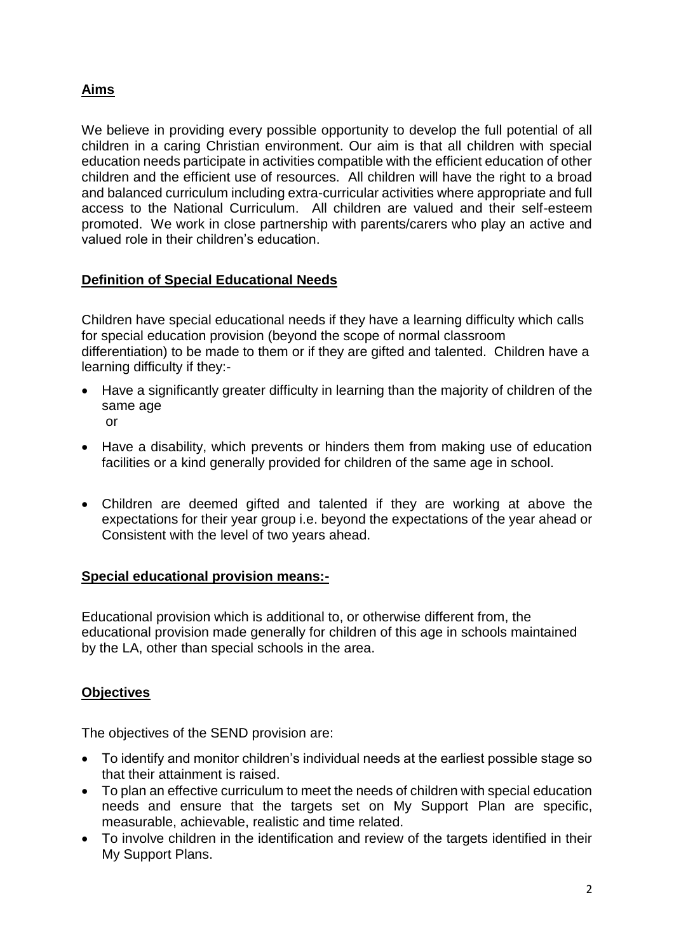## **Aims**

We believe in providing every possible opportunity to develop the full potential of all children in a caring Christian environment. Our aim is that all children with special education needs participate in activities compatible with the efficient education of other children and the efficient use of resources. All children will have the right to a broad and balanced curriculum including extra-curricular activities where appropriate and full access to the National Curriculum. All children are valued and their self-esteem promoted. We work in close partnership with parents/carers who play an active and valued role in their children's education.

## **Definition of Special Educational Needs**

Children have special educational needs if they have a learning difficulty which calls for special education provision (beyond the scope of normal classroom differentiation) to be made to them or if they are gifted and talented. Children have a learning difficulty if they:-

- Have a significantly greater difficulty in learning than the majority of children of the same age or
- Have a disability, which prevents or hinders them from making use of education facilities or a kind generally provided for children of the same age in school.
- Children are deemed gifted and talented if they are working at above the expectations for their year group i.e. beyond the expectations of the year ahead or Consistent with the level of two years ahead.

## **Special educational provision means:-**

Educational provision which is additional to, or otherwise different from, the educational provision made generally for children of this age in schools maintained by the LA, other than special schools in the area.

## **Objectives**

The objectives of the SEND provision are:

- To identify and monitor children's individual needs at the earliest possible stage so that their attainment is raised.
- To plan an effective curriculum to meet the needs of children with special education needs and ensure that the targets set on My Support Plan are specific, measurable, achievable, realistic and time related.
- To involve children in the identification and review of the targets identified in their My Support Plans.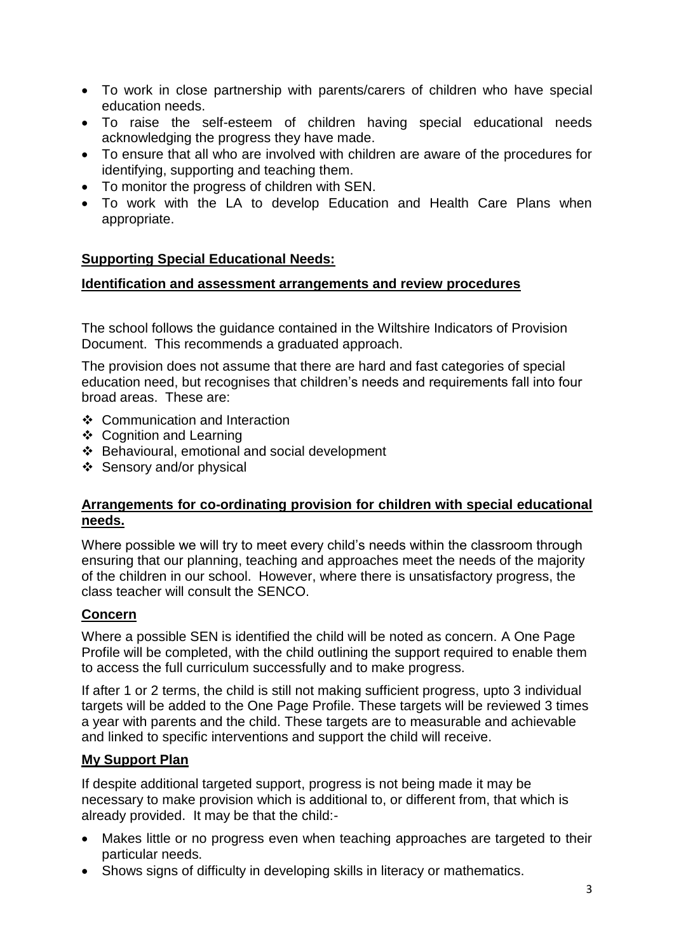- To work in close partnership with parents/carers of children who have special education needs.
- To raise the self-esteem of children having special educational needs acknowledging the progress they have made.
- To ensure that all who are involved with children are aware of the procedures for identifying, supporting and teaching them.
- To monitor the progress of children with SEN.
- To work with the LA to develop Education and Health Care Plans when appropriate.

#### **Supporting Special Educational Needs:**

#### **Identification and assessment arrangements and review procedures**

The school follows the guidance contained in the Wiltshire Indicators of Provision Document. This recommends a graduated approach.

The provision does not assume that there are hard and fast categories of special education need, but recognises that children's needs and requirements fall into four broad areas. These are:

- ❖ Communication and Interaction
- ❖ Cognition and Learning
- Behavioural, emotional and social development
- Sensory and/or physical

#### **Arrangements for co-ordinating provision for children with special educational needs.**

Where possible we will try to meet every child's needs within the classroom through ensuring that our planning, teaching and approaches meet the needs of the majority of the children in our school. However, where there is unsatisfactory progress, the class teacher will consult the SENCO.

#### **Concern**

Where a possible SEN is identified the child will be noted as concern. A One Page Profile will be completed, with the child outlining the support required to enable them to access the full curriculum successfully and to make progress.

If after 1 or 2 terms, the child is still not making sufficient progress, upto 3 individual targets will be added to the One Page Profile. These targets will be reviewed 3 times a year with parents and the child. These targets are to measurable and achievable and linked to specific interventions and support the child will receive.

#### **My Support Plan**

If despite additional targeted support, progress is not being made it may be necessary to make provision which is additional to, or different from, that which is already provided. It may be that the child:-

- Makes little or no progress even when teaching approaches are targeted to their particular needs.
- Shows signs of difficulty in developing skills in literacy or mathematics.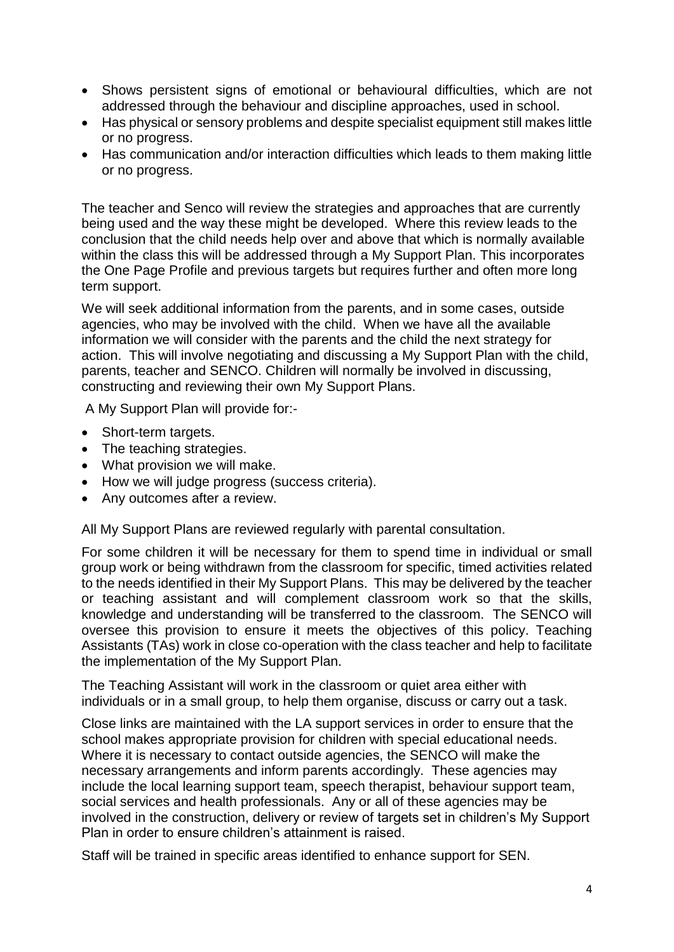- Shows persistent signs of emotional or behavioural difficulties, which are not addressed through the behaviour and discipline approaches, used in school.
- Has physical or sensory problems and despite specialist equipment still makes little or no progress.
- Has communication and/or interaction difficulties which leads to them making little or no progress.

The teacher and Senco will review the strategies and approaches that are currently being used and the way these might be developed. Where this review leads to the conclusion that the child needs help over and above that which is normally available within the class this will be addressed through a My Support Plan. This incorporates the One Page Profile and previous targets but requires further and often more long term support.

We will seek additional information from the parents, and in some cases, outside agencies, who may be involved with the child. When we have all the available information we will consider with the parents and the child the next strategy for action. This will involve negotiating and discussing a My Support Plan with the child, parents, teacher and SENCO. Children will normally be involved in discussing, constructing and reviewing their own My Support Plans.

A My Support Plan will provide for:-

- Short-term targets.
- The teaching strategies.
- What provision we will make.
- How we will judge progress (success criteria).
- Any outcomes after a review.

All My Support Plans are reviewed regularly with parental consultation.

For some children it will be necessary for them to spend time in individual or small group work or being withdrawn from the classroom for specific, timed activities related to the needs identified in their My Support Plans. This may be delivered by the teacher or teaching assistant and will complement classroom work so that the skills, knowledge and understanding will be transferred to the classroom. The SENCO will oversee this provision to ensure it meets the objectives of this policy. Teaching Assistants (TAs) work in close co-operation with the class teacher and help to facilitate the implementation of the My Support Plan.

The Teaching Assistant will work in the classroom or quiet area either with individuals or in a small group, to help them organise, discuss or carry out a task.

Close links are maintained with the LA support services in order to ensure that the school makes appropriate provision for children with special educational needs. Where it is necessary to contact outside agencies, the SENCO will make the necessary arrangements and inform parents accordingly. These agencies may include the local learning support team, speech therapist, behaviour support team, social services and health professionals. Any or all of these agencies may be involved in the construction, delivery or review of targets set in children's My Support Plan in order to ensure children's attainment is raised.

Staff will be trained in specific areas identified to enhance support for SEN.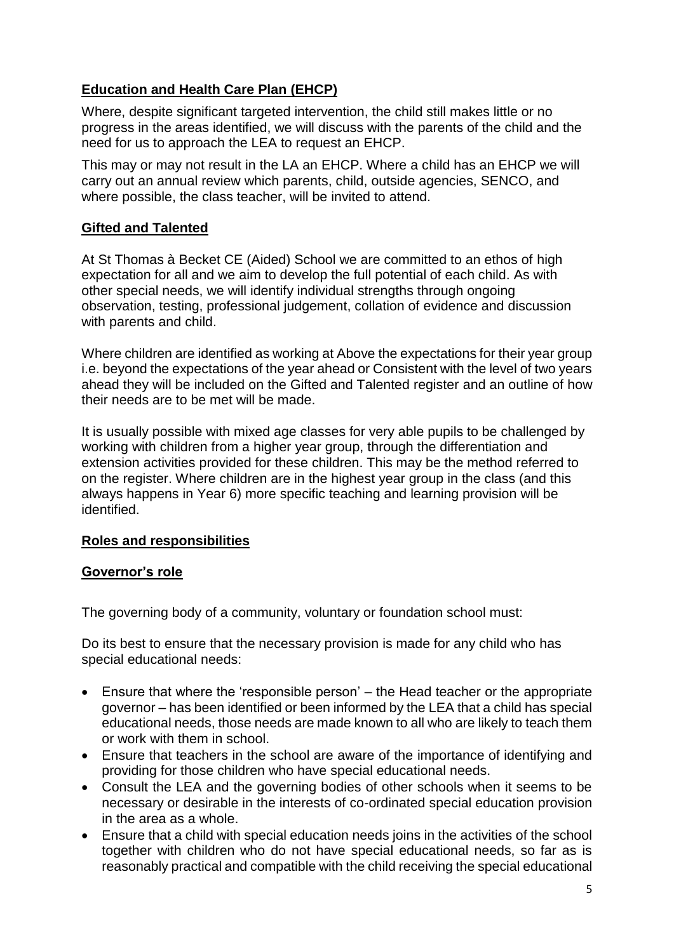## **Education and Health Care Plan (EHCP)**

Where, despite significant targeted intervention, the child still makes little or no progress in the areas identified, we will discuss with the parents of the child and the need for us to approach the LEA to request an EHCP.

This may or may not result in the LA an EHCP. Where a child has an EHCP we will carry out an annual review which parents, child, outside agencies, SENCO, and where possible, the class teacher, will be invited to attend.

## **Gifted and Talented**

At St Thomas à Becket CE (Aided) School we are committed to an ethos of high expectation for all and we aim to develop the full potential of each child. As with other special needs, we will identify individual strengths through ongoing observation, testing, professional judgement, collation of evidence and discussion with parents and child.

Where children are identified as working at Above the expectations for their year group i.e. beyond the expectations of the year ahead or Consistent with the level of two years ahead they will be included on the Gifted and Talented register and an outline of how their needs are to be met will be made.

It is usually possible with mixed age classes for very able pupils to be challenged by working with children from a higher year group, through the differentiation and extension activities provided for these children. This may be the method referred to on the register. Where children are in the highest year group in the class (and this always happens in Year 6) more specific teaching and learning provision will be identified.

#### **Roles and responsibilities**

#### **Governor's role**

The governing body of a community, voluntary or foundation school must:

Do its best to ensure that the necessary provision is made for any child who has special educational needs:

- Ensure that where the 'responsible person' the Head teacher or the appropriate governor – has been identified or been informed by the LEA that a child has special educational needs, those needs are made known to all who are likely to teach them or work with them in school.
- Ensure that teachers in the school are aware of the importance of identifying and providing for those children who have special educational needs.
- Consult the LEA and the governing bodies of other schools when it seems to be necessary or desirable in the interests of co-ordinated special education provision in the area as a whole.
- Ensure that a child with special education needs joins in the activities of the school together with children who do not have special educational needs, so far as is reasonably practical and compatible with the child receiving the special educational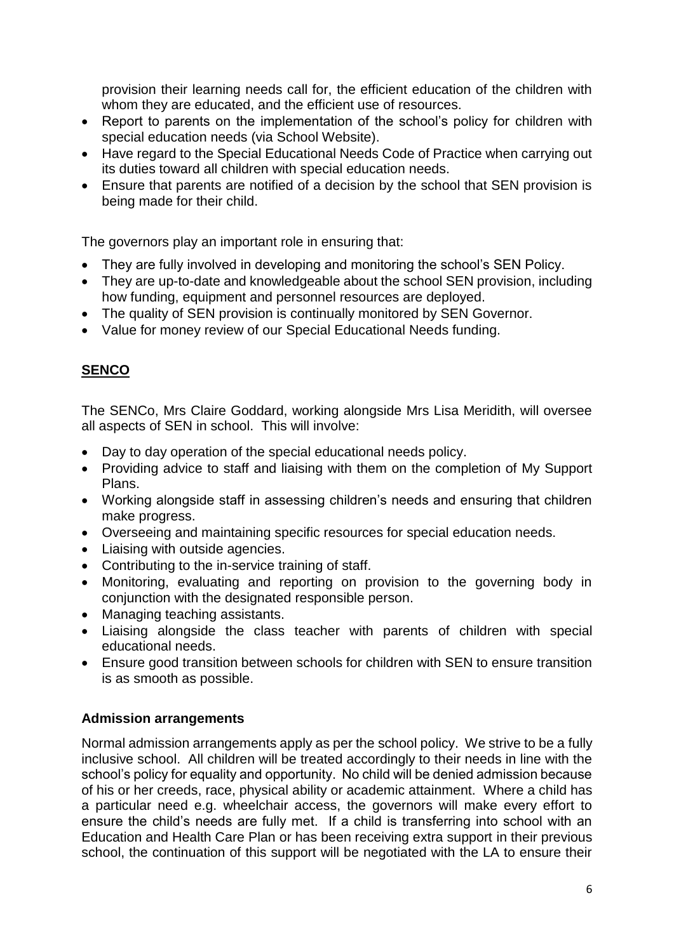provision their learning needs call for, the efficient education of the children with whom they are educated, and the efficient use of resources.

- Report to parents on the implementation of the school's policy for children with special education needs (via School Website).
- Have regard to the Special Educational Needs Code of Practice when carrying out its duties toward all children with special education needs.
- Ensure that parents are notified of a decision by the school that SEN provision is being made for their child.

The governors play an important role in ensuring that:

- They are fully involved in developing and monitoring the school's SEN Policy.
- They are up-to-date and knowledgeable about the school SEN provision, including how funding, equipment and personnel resources are deployed.
- The quality of SEN provision is continually monitored by SEN Governor.
- Value for money review of our Special Educational Needs funding.

## **SENCO**

The SENCo, Mrs Claire Goddard, working alongside Mrs Lisa Meridith, will oversee all aspects of SEN in school. This will involve:

- Day to day operation of the special educational needs policy.
- Providing advice to staff and liaising with them on the completion of My Support Plans.
- Working alongside staff in assessing children's needs and ensuring that children make progress.
- Overseeing and maintaining specific resources for special education needs.
- Liaising with outside agencies.
- Contributing to the in-service training of staff.
- Monitoring, evaluating and reporting on provision to the governing body in conjunction with the designated responsible person.
- Managing teaching assistants.
- Liaising alongside the class teacher with parents of children with special educational needs.
- Ensure good transition between schools for children with SEN to ensure transition is as smooth as possible.

## **Admission arrangements**

Normal admission arrangements apply as per the school policy. We strive to be a fully inclusive school. All children will be treated accordingly to their needs in line with the school's policy for equality and opportunity. No child will be denied admission because of his or her creeds, race, physical ability or academic attainment. Where a child has a particular need e.g. wheelchair access, the governors will make every effort to ensure the child's needs are fully met. If a child is transferring into school with an Education and Health Care Plan or has been receiving extra support in their previous school, the continuation of this support will be negotiated with the LA to ensure their